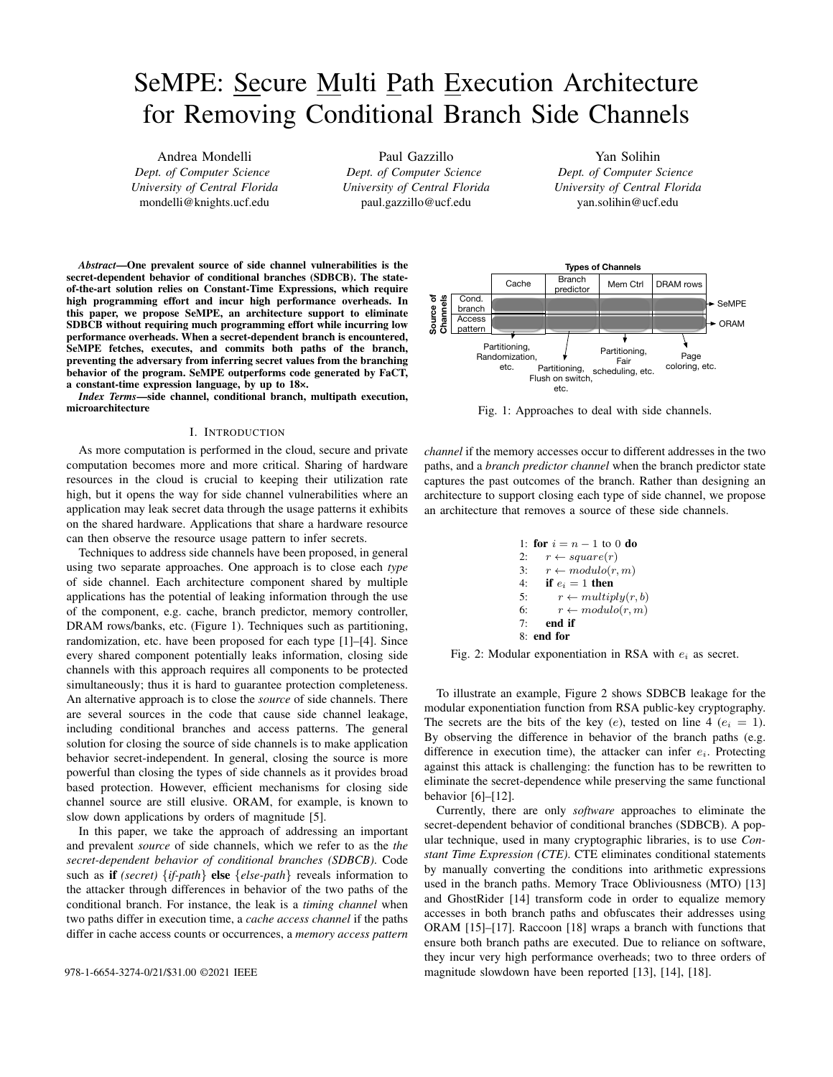# SeMPE: Secure Multi Path Execution Architecture for Removing Conditional Branch Side Channels

Andrea Mondelli *Dept. of Computer Science University of Central Florida* mondelli@knights.ucf.edu

Paul Gazzillo *Dept. of Computer Science University of Central Florida* paul.gazzillo@ucf.edu

Yan Solihin *Dept. of Computer Science University of Central Florida* yan.solihin@ucf.edu

*Abstract*—One prevalent source of side channel vulnerabilities is the secret-dependent behavior of conditional branches (SDBCB). The stateof-the-art solution relies on Constant-Time Expressions, which require high programming effort and incur high performance overheads. In this paper, we propose SeMPE, an architecture support to eliminate SDBCB without requiring much programming effort while incurring low performance overheads. When a secret-dependent branch is encountered, SeMPE fetches, executes, and commits both paths of the branch, preventing the adversary from inferring secret values from the branching behavior of the program. SeMPE outperforms code generated by FaCT, a constant-time expression language, by up to 18×.

*Index Terms*—side channel, conditional branch, multipath execution, microarchitecture

## I. INTRODUCTION

As more computation is performed in the cloud, secure and private computation becomes more and more critical. Sharing of hardware resources in the cloud is crucial to keeping their utilization rate high, but it opens the way for side channel vulnerabilities where an application may leak secret data through the usage patterns it exhibits on the shared hardware. Applications that share a hardware resource can then observe the resource usage pattern to infer secrets.

Techniques to address side channels have been proposed, in general using two separate approaches. One approach is to close each *type* of side channel. Each architecture component shared by multiple applications has the potential of leaking information through the use of the component, e.g. cache, branch predictor, memory controller, DRAM rows/banks, etc. (Figure 1). Techniques such as partitioning, randomization, etc. have been proposed for each type [1]–[4]. Since every shared component potentially leaks information, closing side channels with this approach requires all components to be protected simultaneously; thus it is hard to guarantee protection completeness. An alternative approach is to close the *source* of side channels. There are several sources in the code that cause side channel leakage, including conditional branches and access patterns. The general solution for closing the source of side channels is to make application behavior secret-independent. In general, closing the source is more powerful than closing the types of side channels as it provides broad based protection. However, efficient mechanisms for closing side channel source are still elusive. ORAM, for example, is known to slow down applications by orders of magnitude [5].

In this paper, we take the approach of addressing an important and prevalent *source* of side channels, which we refer to as the *the secret-dependent behavior of conditional branches (SDBCB)*. Code such as if *(secret)* {*if-path*} else {*else-path*} reveals information to the attacker through differences in behavior of the two paths of the conditional branch. For instance, the leak is a *timing channel* when two paths differ in execution time, a *cache access channel* if the paths differ in cache access counts or occurrences, a *memory access pattern*



**Types of Channels**

Fig. 1: Approaches to deal with side channels.

*channel* if the memory accesses occur to different addresses in the two paths, and a *branch predictor channel* when the branch predictor state captures the past outcomes of the branch. Rather than designing an architecture to support closing each type of side channel, we propose an architecture that removes a source of these side channels.

1: **for** 
$$
i = n - 1
$$
 to 0 **do**  
\n2:  $r \leftarrow square(r)$   
\n3:  $r \leftarrow modulo(r, m)$   
\n4: **if**  $e_i = 1$  **then**  
\n5:  $r \leftarrow multiply(r, b)$   
\n6:  $r \leftarrow modulo(r, m)$   
\n7: **end if**  
\n8: **end for**

Fig. 2: Modular exponentiation in RSA with  $e_i$  as secret.

To illustrate an example, Figure 2 shows SDBCB leakage for the modular exponentiation function from RSA public-key cryptography. The secrets are the bits of the key  $(e)$ , tested on line 4  $(e_i = 1)$ . By observing the difference in behavior of the branch paths (e.g. difference in execution time), the attacker can infer  $e_i$ . Protecting against this attack is challenging: the function has to be rewritten to eliminate the secret-dependence while preserving the same functional behavior [6]–[12].

Currently, there are only *software* approaches to eliminate the secret-dependent behavior of conditional branches (SDBCB). A popular technique, used in many cryptographic libraries, is to use *Constant Time Expression (CTE)*. CTE eliminates conditional statements by manually converting the conditions into arithmetic expressions used in the branch paths. Memory Trace Obliviousness (MTO) [13] and GhostRider [14] transform code in order to equalize memory accesses in both branch paths and obfuscates their addresses using ORAM [15]–[17]. Raccoon [18] wraps a branch with functions that ensure both branch paths are executed. Due to reliance on software, they incur very high performance overheads; two to three orders of 978-1-6654-3274-0/21/\$31.00 ©2021 IEEE magnitude slowdown have been reported [13], [14], [18].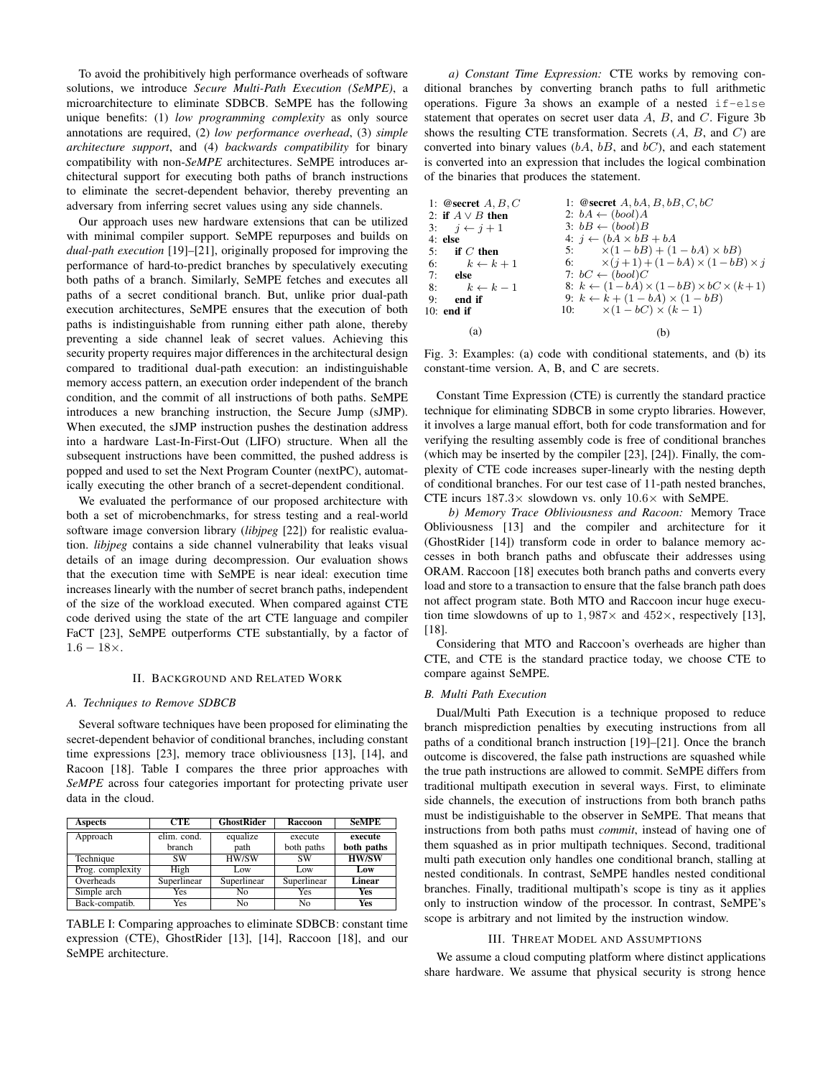To avoid the prohibitively high performance overheads of software solutions, we introduce *Secure Multi-Path Execution (SeMPE)*, a microarchitecture to eliminate SDBCB. SeMPE has the following unique benefits: (1) *low programming complexity* as only source annotations are required, (2) *low performance overhead*, (3) *simple architecture support*, and (4) *backwards compatibility* for binary compatibility with non-*SeMPE* architectures. SeMPE introduces architectural support for executing both paths of branch instructions to eliminate the secret-dependent behavior, thereby preventing an adversary from inferring secret values using any side channels.

Our approach uses new hardware extensions that can be utilized with minimal compiler support. SeMPE repurposes and builds on *dual-path execution* [19]–[21], originally proposed for improving the performance of hard-to-predict branches by speculatively executing both paths of a branch. Similarly, SeMPE fetches and executes all paths of a secret conditional branch. But, unlike prior dual-path execution architectures, SeMPE ensures that the execution of both paths is indistinguishable from running either path alone, thereby preventing a side channel leak of secret values. Achieving this security property requires major differences in the architectural design compared to traditional dual-path execution: an indistinguishable memory access pattern, an execution order independent of the branch condition, and the commit of all instructions of both paths. SeMPE introduces a new branching instruction, the Secure Jump (sJMP). When executed, the sJMP instruction pushes the destination address into a hardware Last-In-First-Out (LIFO) structure. When all the subsequent instructions have been committed, the pushed address is popped and used to set the Next Program Counter (nextPC), automatically executing the other branch of a secret-dependent conditional.

We evaluated the performance of our proposed architecture with both a set of microbenchmarks, for stress testing and a real-world software image conversion library (*libjpeg* [22]) for realistic evaluation. *libjpeg* contains a side channel vulnerability that leaks visual details of an image during decompression. Our evaluation shows that the execution time with SeMPE is near ideal: execution time increases linearly with the number of secret branch paths, independent of the size of the workload executed. When compared against CTE code derived using the state of the art CTE language and compiler FaCT [23], SeMPE outperforms CTE substantially, by a factor of  $1.6 - 18 \times$ .

#### II. BACKGROUND AND RELATED WORK

## *A. Techniques to Remove SDBCB*

Several software techniques have been proposed for eliminating the secret-dependent behavior of conditional branches, including constant time expressions [23], memory trace obliviousness [13], [14], and Racoon [18]. Table I compares the three prior approaches with *SeMPE* across four categories important for protecting private user data in the cloud.

| <b>Aspects</b>   | <b>CTE</b>    | <b>GhostRider</b> | Raccoon     | <b>SeMPE</b> |
|------------------|---------------|-------------------|-------------|--------------|
| Approach         | elim. cond.   | equalize          | execute     | execute      |
|                  | <b>branch</b> | path              | both paths  | both paths   |
| Technique        | <b>SW</b>     | HW/SW             | <b>SW</b>   | <b>HW/SW</b> |
| Prog. complexity | High          | Low               | Low         | Low          |
| Overheads        | Superlinear   | Superlinear       | Superlinear | Linear       |
| Simple arch      | Yes           | No                | Yes         | Yes          |
| Back-compatib.   | Yes           | No                | No          | Yes          |

TABLE I: Comparing approaches to eliminate SDBCB: constant time expression (CTE), GhostRider [13], [14], Raccoon [18], and our SeMPE architecture.

*a) Constant Time Expression:* CTE works by removing conditional branches by converting branch paths to full arithmetic operations. Figure 3a shows an example of a nested if-else statement that operates on secret user data  $A$ ,  $B$ , and  $C$ . Figure 3b shows the resulting CTE transformation. Secrets  $(A, B, \text{ and } C)$  are converted into binary values  $(bA, bB,$  and  $bC)$ , and each statement is converted into an expression that includes the logical combination of the binaries that produces the statement.

| 1: @secret $A, B, C$  | 1: @secret $A, bA, B, bB, C, bC$                              |
|-----------------------|---------------------------------------------------------------|
| 2: if $A \vee B$ then | 2: $bA \leftarrow (bool)A$                                    |
| 3: $i \leftarrow i+1$ | $3: bB \leftarrow (bool)B$                                    |
| $4:$ else             | 4: $j \leftarrow (bA \times bB + bA)$                         |
| $5:$ if C then        | 5: $\times (1 - bB) + (1 - bA) \times bB$                     |
| 6: $k \leftarrow k+1$ | 6: $\times (j+1) + (1-bA) \times (1-bB) \times j$             |
| $7:$ else             | 7: $bC \leftarrow (bool)C$                                    |
| 8: $k \leftarrow k-1$ | 8: $k \leftarrow (1-bA) \times (1-bB) \times bC \times (k+1)$ |
| $9:$ end if           | 9: $k \leftarrow k + (1 - bA) \times (1 - bB)$                |
| $10:$ end if          | 10: $\times (1 - bC) \times (k - 1)$                          |
| (a)                   | (b)                                                           |

Fig. 3: Examples: (a) code with conditional statements, and (b) its constant-time version. A, B, and C are secrets.

Constant Time Expression (CTE) is currently the standard practice technique for eliminating SDBCB in some crypto libraries. However, it involves a large manual effort, both for code transformation and for verifying the resulting assembly code is free of conditional branches (which may be inserted by the compiler [23], [24]). Finally, the complexity of CTE code increases super-linearly with the nesting depth of conditional branches. For our test case of 11-path nested branches, CTE incurs  $187.3\times$  slowdown vs. only  $10.6\times$  with SeMPE.

*b) Memory Trace Obliviousness and Racoon:* Memory Trace Obliviousness [13] and the compiler and architecture for it (GhostRider [14]) transform code in order to balance memory accesses in both branch paths and obfuscate their addresses using ORAM. Raccoon [18] executes both branch paths and converts every load and store to a transaction to ensure that the false branch path does not affect program state. Both MTO and Raccoon incur huge execution time slowdowns of up to  $1,987\times$  and  $452\times$ , respectively [13], [18].

Considering that MTO and Raccoon's overheads are higher than CTE, and CTE is the standard practice today, we choose CTE to compare against SeMPE.

## *B. Multi Path Execution*

Dual/Multi Path Execution is a technique proposed to reduce branch misprediction penalties by executing instructions from all paths of a conditional branch instruction [19]–[21]. Once the branch outcome is discovered, the false path instructions are squashed while the true path instructions are allowed to commit. SeMPE differs from traditional multipath execution in several ways. First, to eliminate side channels, the execution of instructions from both branch paths must be indistiguishable to the observer in SeMPE. That means that instructions from both paths must *commit*, instead of having one of them squashed as in prior multipath techniques. Second, traditional multi path execution only handles one conditional branch, stalling at nested conditionals. In contrast, SeMPE handles nested conditional branches. Finally, traditional multipath's scope is tiny as it applies only to instruction window of the processor. In contrast, SeMPE's scope is arbitrary and not limited by the instruction window.

#### III. THREAT MODEL AND ASSUMPTIONS

We assume a cloud computing platform where distinct applications share hardware. We assume that physical security is strong hence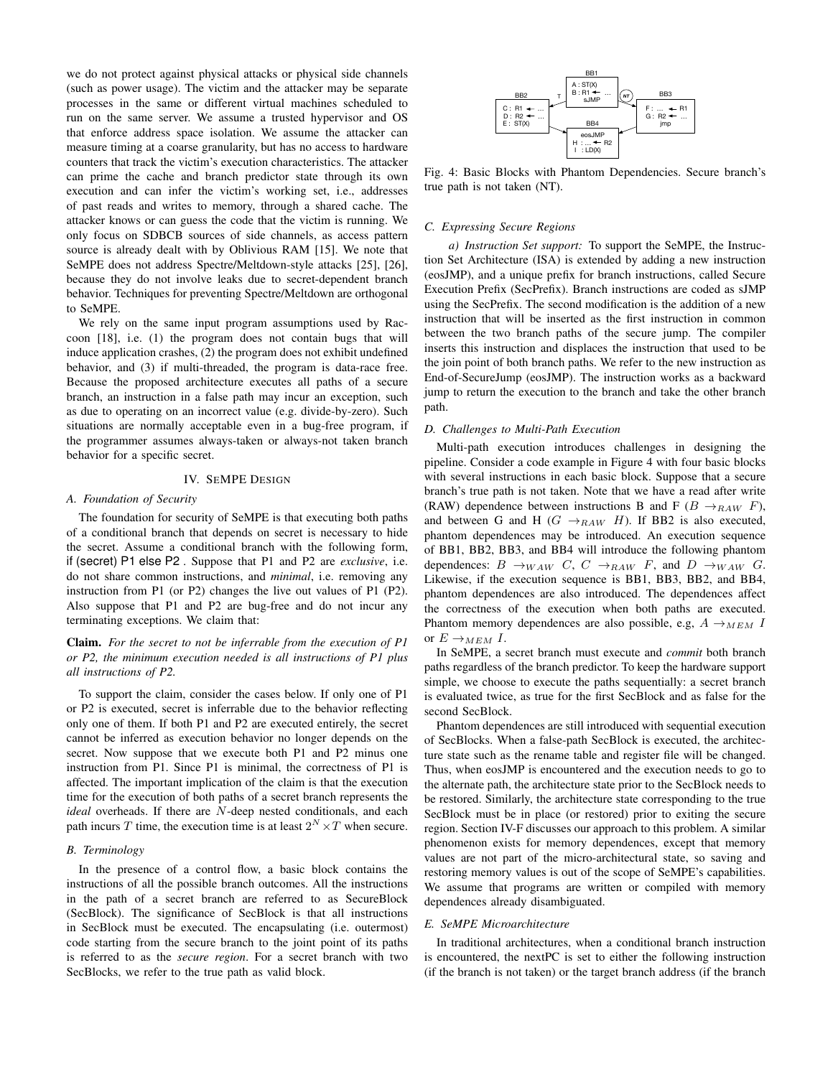we do not protect against physical attacks or physical side channels (such as power usage). The victim and the attacker may be separate processes in the same or different virtual machines scheduled to run on the same server. We assume a trusted hypervisor and OS that enforce address space isolation. We assume the attacker can measure timing at a coarse granularity, but has no access to hardware counters that track the victim's execution characteristics. The attacker can prime the cache and branch predictor state through its own execution and can infer the victim's working set, i.e., addresses of past reads and writes to memory, through a shared cache. The attacker knows or can guess the code that the victim is running. We only focus on SDBCB sources of side channels, as access pattern source is already dealt with by Oblivious RAM [15]. We note that SeMPE does not address Spectre/Meltdown-style attacks [25], [26], because they do not involve leaks due to secret-dependent branch behavior. Techniques for preventing Spectre/Meltdown are orthogonal to SeMPE.

We rely on the same input program assumptions used by Raccoon [18], i.e. (1) the program does not contain bugs that will induce application crashes, (2) the program does not exhibit undefined behavior, and (3) if multi-threaded, the program is data-race free. Because the proposed architecture executes all paths of a secure branch, an instruction in a false path may incur an exception, such as due to operating on an incorrect value (e.g. divide-by-zero). Such situations are normally acceptable even in a bug-free program, if the programmer assumes always-taken or always-not taken branch behavior for a specific secret.

## IV. SEMPE DESIGN

## *A. Foundation of Security*

The foundation for security of SeMPE is that executing both paths of a conditional branch that depends on secret is necessary to hide the secret. Assume a conditional branch with the following form, if (secret) P1 else P2 . Suppose that P1 and P2 are *exclusive*, i.e. do not share common instructions, and *minimal*, i.e. removing any instruction from P1 (or P2) changes the live out values of P1 (P2). Also suppose that P1 and P2 are bug-free and do not incur any terminating exceptions. We claim that:

## Claim. *For the secret to not be inferrable from the execution of P1 or P2, the minimum execution needed is all instructions of P1 plus all instructions of P2.*

To support the claim, consider the cases below. If only one of P1 or P2 is executed, secret is inferrable due to the behavior reflecting only one of them. If both P1 and P2 are executed entirely, the secret cannot be inferred as execution behavior no longer depends on the secret. Now suppose that we execute both P1 and P2 minus one instruction from P1. Since P1 is minimal, the correctness of P1 is affected. The important implication of the claim is that the execution time for the execution of both paths of a secret branch represents the *ideal* overheads. If there are N-deep nested conditionals, and each path incurs T time, the execution time is at least  $2^N \times T$  when secure.

## *B. Terminology*

In the presence of a control flow, a basic block contains the instructions of all the possible branch outcomes. All the instructions in the path of a secret branch are referred to as SecureBlock (SecBlock). The significance of SecBlock is that all instructions in SecBlock must be executed. The encapsulating (i.e. outermost) code starting from the secure branch to the joint point of its paths is referred to as the *secure region*. For a secret branch with two SecBlocks, we refer to the true path as valid block.



Fig. 4: Basic Blocks with Phantom Dependencies. Secure branch's true path is not taken (NT).

## *C. Expressing Secure Regions*

*a) Instruction Set support:* To support the SeMPE, the Instruction Set Architecture (ISA) is extended by adding a new instruction (eosJMP), and a unique prefix for branch instructions, called Secure Execution Prefix (SecPrefix). Branch instructions are coded as sJMP using the SecPrefix. The second modification is the addition of a new instruction that will be inserted as the first instruction in common between the two branch paths of the secure jump. The compiler inserts this instruction and displaces the instruction that used to be the join point of both branch paths. We refer to the new instruction as End-of-SecureJump (eosJMP). The instruction works as a backward jump to return the execution to the branch and take the other branch path.

#### *D. Challenges to Multi-Path Execution*

Multi-path execution introduces challenges in designing the pipeline. Consider a code example in Figure 4 with four basic blocks with several instructions in each basic block. Suppose that a secure branch's true path is not taken. Note that we have a read after write (RAW) dependence between instructions B and F ( $B \rightarrow_{RAW} F$ ), and between G and H ( $G \rightarrow_{RAW} H$ ). If BB2 is also executed, phantom dependences may be introduced. An execution sequence of BB1, BB2, BB3, and BB4 will introduce the following phantom dependences:  $B \rightarrow_{WAW} C$ ,  $C \rightarrow_{RAW} F$ , and  $D \rightarrow_{WAW} G$ . Likewise, if the execution sequence is BB1, BB3, BB2, and BB4, phantom dependences are also introduced. The dependences affect the correctness of the execution when both paths are executed. Phantom memory dependences are also possible, e.g,  $A \rightarrow_{MEM} I$ or  $E \rightarrow_{MEM} I$ .

In SeMPE, a secret branch must execute and *commit* both branch paths regardless of the branch predictor. To keep the hardware support simple, we choose to execute the paths sequentially: a secret branch is evaluated twice, as true for the first SecBlock and as false for the second SecBlock.

Phantom dependences are still introduced with sequential execution of SecBlocks. When a false-path SecBlock is executed, the architecture state such as the rename table and register file will be changed. Thus, when eosJMP is encountered and the execution needs to go to the alternate path, the architecture state prior to the SecBlock needs to be restored. Similarly, the architecture state corresponding to the true SecBlock must be in place (or restored) prior to exiting the secure region. Section IV-F discusses our approach to this problem. A similar phenomenon exists for memory dependences, except that memory values are not part of the micro-architectural state, so saving and restoring memory values is out of the scope of SeMPE's capabilities. We assume that programs are written or compiled with memory dependences already disambiguated.

#### *E. SeMPE Microarchitecture*

In traditional architectures, when a conditional branch instruction is encountered, the nextPC is set to either the following instruction (if the branch is not taken) or the target branch address (if the branch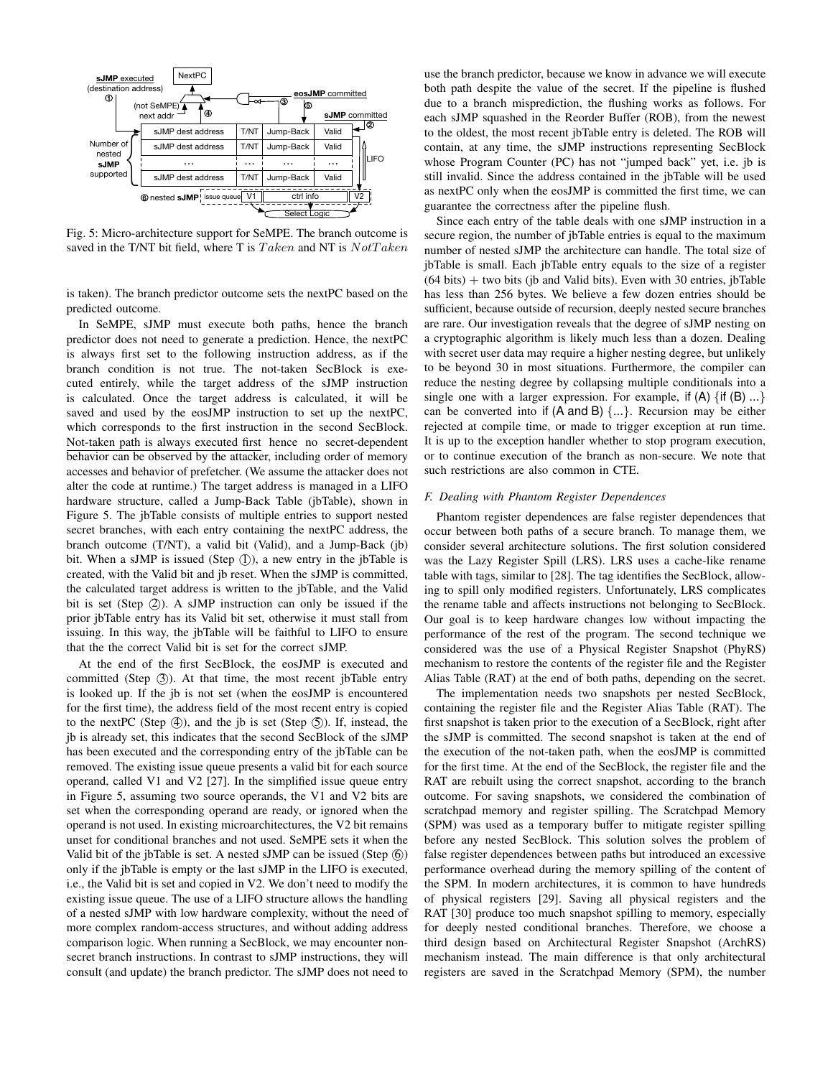

Fig. 5: Micro-architecture support for SeMPE. The branch outcome is saved in the T/NT bit field, where T is  $Taken$  and NT is  $NotTake$ 

is taken). The branch predictor outcome sets the nextPC based on the predicted outcome.

In SeMPE, sJMP must execute both paths, hence the branch predictor does not need to generate a prediction. Hence, the nextPC is always first set to the following instruction address, as if the branch condition is not true. The not-taken SecBlock is executed entirely, while the target address of the sJMP instruction is calculated. Once the target address is calculated, it will be saved and used by the eosJMP instruction to set up the nextPC, which corresponds to the first instruction in the second SecBlock. Not-taken path is always executed first hence no secret-dependent behavior can be observed by the attacker, including order of memory accesses and behavior of prefetcher. (We assume the attacker does not alter the code at runtime.) The target address is managed in a LIFO hardware structure, called a Jump-Back Table (jbTable), shown in Figure 5. The jbTable consists of multiple entries to support nested secret branches, with each entry containing the nextPC address, the branch outcome (T/NT), a valid bit (Valid), and a Jump-Back (jb) bit. When a sJMP is issued (Step  $(I)$ ), a new entry in the jbTable is created, with the Valid bit and jb reset. When the sJMP is committed, the calculated target address is written to the jbTable, and the Valid bit is set (Step  $(2)$ ). A sJMP instruction can only be issued if the prior jbTable entry has its Valid bit set, otherwise it must stall from issuing. In this way, the jbTable will be faithful to LIFO to ensure that the the correct Valid bit is set for the correct sJMP.

At the end of the first SecBlock, the eosJMP is executed and committed (Step  $(3)$ ). At that time, the most recent jbTable entry is looked up. If the jb is not set (when the eosJMP is encountered for the first time), the address field of the most recent entry is copied to the nextPC (Step  $(4)$ ), and the jb is set (Step  $(5)$ ). If, instead, the jb is already set, this indicates that the second SecBlock of the sJMP has been executed and the corresponding entry of the jbTable can be removed. The existing issue queue presents a valid bit for each source operand, called V1 and V2 [27]. In the simplified issue queue entry in Figure 5, assuming two source operands, the V1 and V2 bits are set when the corresponding operand are ready, or ignored when the operand is not used. In existing microarchitectures, the V2 bit remains unset for conditional branches and not used. SeMPE sets it when the Valid bit of the  $\{b$ Table is set. A nested sJMP can be issued (Step  $(\delta)$ ) only if the jbTable is empty or the last sJMP in the LIFO is executed, i.e., the Valid bit is set and copied in V2. We don't need to modify the existing issue queue. The use of a LIFO structure allows the handling of a nested sJMP with low hardware complexity, without the need of more complex random-access structures, and without adding address comparison logic. When running a SecBlock, we may encounter nonsecret branch instructions. In contrast to sJMP instructions, they will consult (and update) the branch predictor. The sJMP does not need to

use the branch predictor, because we know in advance we will execute both path despite the value of the secret. If the pipeline is flushed due to a branch misprediction, the flushing works as follows. For each sJMP squashed in the Reorder Buffer (ROB), from the newest to the oldest, the most recent jbTable entry is deleted. The ROB will contain, at any time, the sJMP instructions representing SecBlock whose Program Counter (PC) has not "jumped back" yet, i.e. jb is still invalid. Since the address contained in the jbTable will be used as nextPC only when the eosJMP is committed the first time, we can guarantee the correctness after the pipeline flush.

Since each entry of the table deals with one sJMP instruction in a secure region, the number of jbTable entries is equal to the maximum number of nested sJMP the architecture can handle. The total size of jbTable is small. Each jbTable entry equals to the size of a register  $(64 \text{ bits}) +$  two bits (jb and Valid bits). Even with 30 entries, jbTable has less than 256 bytes. We believe a few dozen entries should be sufficient, because outside of recursion, deeply nested secure branches are rare. Our investigation reveals that the degree of sJMP nesting on a cryptographic algorithm is likely much less than a dozen. Dealing with secret user data may require a higher nesting degree, but unlikely to be beyond 30 in most situations. Furthermore, the compiler can reduce the nesting degree by collapsing multiple conditionals into a single one with a larger expression. For example, if  $(A) \{if (B) ...\}$ can be converted into if  $(A \text{ and } B) \{...\}$ . Recursion may be either rejected at compile time, or made to trigger exception at run time. It is up to the exception handler whether to stop program execution, or to continue execution of the branch as non-secure. We note that such restrictions are also common in CTE.

## *F. Dealing with Phantom Register Dependences*

Phantom register dependences are false register dependences that occur between both paths of a secure branch. To manage them, we consider several architecture solutions. The first solution considered was the Lazy Register Spill (LRS). LRS uses a cache-like rename table with tags, similar to [28]. The tag identifies the SecBlock, allowing to spill only modified registers. Unfortunately, LRS complicates the rename table and affects instructions not belonging to SecBlock. Our goal is to keep hardware changes low without impacting the performance of the rest of the program. The second technique we considered was the use of a Physical Register Snapshot (PhyRS) mechanism to restore the contents of the register file and the Register Alias Table (RAT) at the end of both paths, depending on the secret.

The implementation needs two snapshots per nested SecBlock, containing the register file and the Register Alias Table (RAT). The first snapshot is taken prior to the execution of a SecBlock, right after the sJMP is committed. The second snapshot is taken at the end of the execution of the not-taken path, when the eosJMP is committed for the first time. At the end of the SecBlock, the register file and the RAT are rebuilt using the correct snapshot, according to the branch outcome. For saving snapshots, we considered the combination of scratchpad memory and register spilling. The Scratchpad Memory (SPM) was used as a temporary buffer to mitigate register spilling before any nested SecBlock. This solution solves the problem of false register dependences between paths but introduced an excessive performance overhead during the memory spilling of the content of the SPM. In modern architectures, it is common to have hundreds of physical registers [29]. Saving all physical registers and the RAT [30] produce too much snapshot spilling to memory, especially for deeply nested conditional branches. Therefore, we choose a third design based on Architectural Register Snapshot (ArchRS) mechanism instead. The main difference is that only architectural registers are saved in the Scratchpad Memory (SPM), the number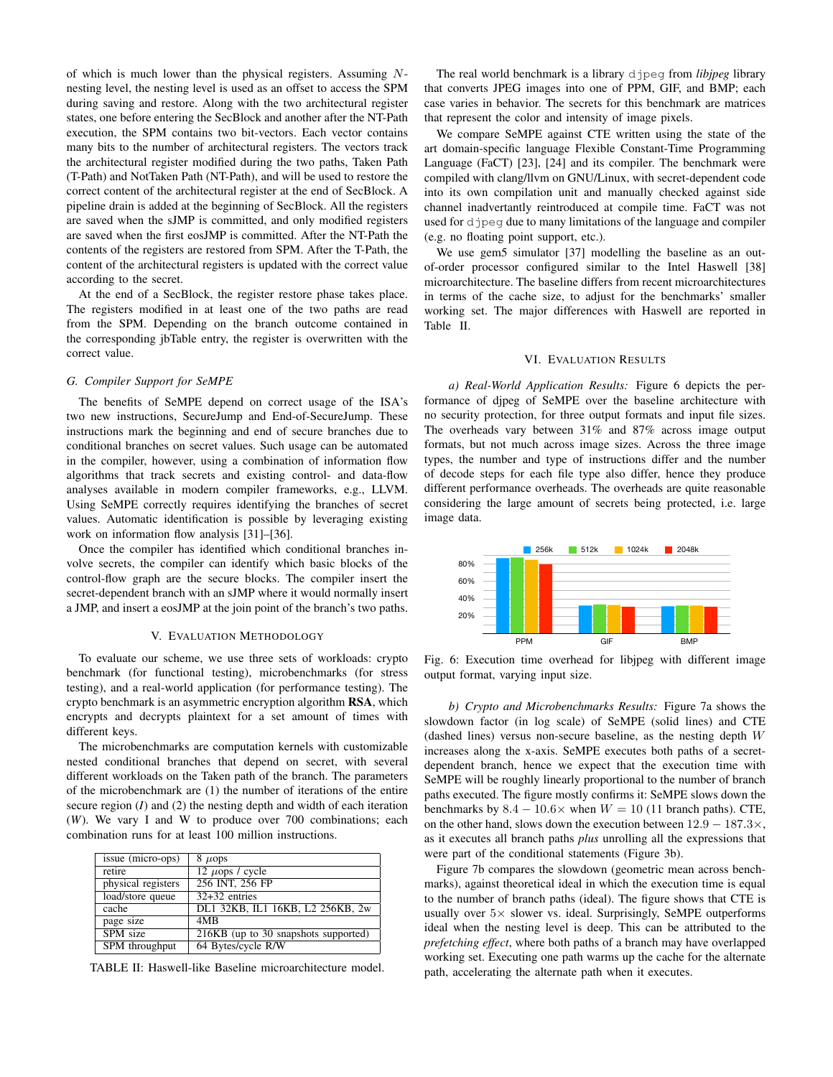of which is much lower than the physical registers. Assuming  $N$ nesting level, the nesting level is used as an offset to access the SPM during saving and restore. Along with the two architectural register states, one before entering the SecBlock and another after the NT-Path execution, the SPM contains two bit-vectors. Each vector contains many bits to the number of architectural registers. The vectors track the architectural register modified during the two paths, Taken Path (T-Path) and NotTaken Path (NT-Path), and will be used to restore the correct content of the architectural register at the end of SecBlock. A pipeline drain is added at the beginning of SecBlock. All the registers are saved when the sJMP is committed, and only modified registers are saved when the first eosJMP is committed. After the NT-Path the contents of the registers are restored from SPM. After the T-Path, the content of the architectural registers is updated with the correct value according to the secret.

At the end of a SecBlock, the register restore phase takes place. The registers modified in at least one of the two paths are read from the SPM. Depending on the branch outcome contained in the corresponding jbTable entry, the register is overwritten with the correct value.

## *G. Compiler Support for SeMPE*

The benefits of SeMPE depend on correct usage of the ISA's two new instructions, SecureJump and End-of-SecureJump. These instructions mark the beginning and end of secure branches due to conditional branches on secret values. Such usage can be automated in the compiler, however, using a combination of information flow algorithms that track secrets and existing control- and data-flow analyses available in modern compiler frameworks, e.g., LLVM. Using SeMPE correctly requires identifying the branches of secret values. Automatic identification is possible by leveraging existing work on information flow analysis [31]–[36].

Once the compiler has identified which conditional branches involve secrets, the compiler can identify which basic blocks of the control-flow graph are the secure blocks. The compiler insert the secret-dependent branch with an sJMP where it would normally insert a JMP, and insert a eosJMP at the join point of the branch's two paths.

## V. EVALUATION METHODOLOGY

To evaluate our scheme, we use three sets of workloads: crypto benchmark (for functional testing), microbenchmarks (for stress testing), and a real-world application (for performance testing). The crypto benchmark is an asymmetric encryption algorithm RSA, which encrypts and decrypts plaintext for a set amount of times with different keys.

The microbenchmarks are computation kernels with customizable nested conditional branches that depend on secret, with several different workloads on the Taken path of the branch. The parameters of the microbenchmark are (1) the number of iterations of the entire secure region (*I*) and (2) the nesting depth and width of each iteration (*W*). We vary I and W to produce over 700 combinations; each combination runs for at least 100 million instructions.

| issue (micro-ops)<br>$8 \mu$ ops     |  |
|--------------------------------------|--|
| 12 $\mu$ ops / cycle                 |  |
| 256 INT, 256 FP                      |  |
| $32+32$ entries                      |  |
| DL1 32KB, IL1 16KB, L2 256KB, 2w     |  |
| 4M <sub>R</sub>                      |  |
| 216KB (up to 30 snapshots supported) |  |
| 64 Bytes/cycle R/W                   |  |
|                                      |  |

TABLE II: Haswell-like Baseline microarchitecture model.

The real world benchmark is a library djpeg from *libjpeg* library that converts JPEG images into one of PPM, GIF, and BMP; each case varies in behavior. The secrets for this benchmark are matrices that represent the color and intensity of image pixels.

We compare SeMPE against CTE written using the state of the art domain-specific language Flexible Constant-Time Programming Language (FaCT) [23], [24] and its compiler. The benchmark were compiled with clang/llvm on GNU/Linux, with secret-dependent code into its own compilation unit and manually checked against side channel inadvertantly reintroduced at compile time. FaCT was not used for djpeg due to many limitations of the language and compiler (e.g. no floating point support, etc.).

We use gem5 simulator [37] modelling the baseline as an outof-order processor configured similar to the Intel Haswell [38] microarchitecture. The baseline differs from recent microarchitectures in terms of the cache size, to adjust for the benchmarks' smaller working set. The major differences with Haswell are reported in Table II.

# VI. EVALUATION RESULTS

*a) Real-World Application Results:* Figure 6 depicts the performance of djpeg of SeMPE over the baseline architecture with no security protection, for three output formats and input file sizes. The overheads vary between 31% and 87% across image output formats, but not much across image sizes. Across the three image types, the number and type of instructions differ and the number of decode steps for each file type also differ, hence they produce different performance overheads. The overheads are quite reasonable considering the large amount of secrets being protected, i.e. large image data.



Fig. 6: Execution time overhead for libjpeg with different image output format, varying input size.

*b) Crypto and Microbenchmarks Results:* Figure 7a shows the slowdown factor (in log scale) of SeMPE (solid lines) and CTE (dashed lines) versus non-secure baseline, as the nesting depth  $W$ increases along the x-axis. SeMPE executes both paths of a secretdependent branch, hence we expect that the execution time with SeMPE will be roughly linearly proportional to the number of branch paths executed. The figure mostly confirms it: SeMPE slows down the benchmarks by  $8.4 - 10.6 \times$  when  $W = 10$  (11 branch paths). CTE, on the other hand, slows down the execution between 12.9 − 187.3×, as it executes all branch paths *plus* unrolling all the expressions that were part of the conditional statements (Figure 3b).

Figure 7b compares the slowdown (geometric mean across benchmarks), against theoretical ideal in which the execution time is equal to the number of branch paths (ideal). The figure shows that CTE is usually over  $5\times$  slower vs. ideal. Surprisingly, SeMPE outperforms ideal when the nesting level is deep. This can be attributed to the *prefetching effect*, where both paths of a branch may have overlapped working set. Executing one path warms up the cache for the alternate path, accelerating the alternate path when it executes.